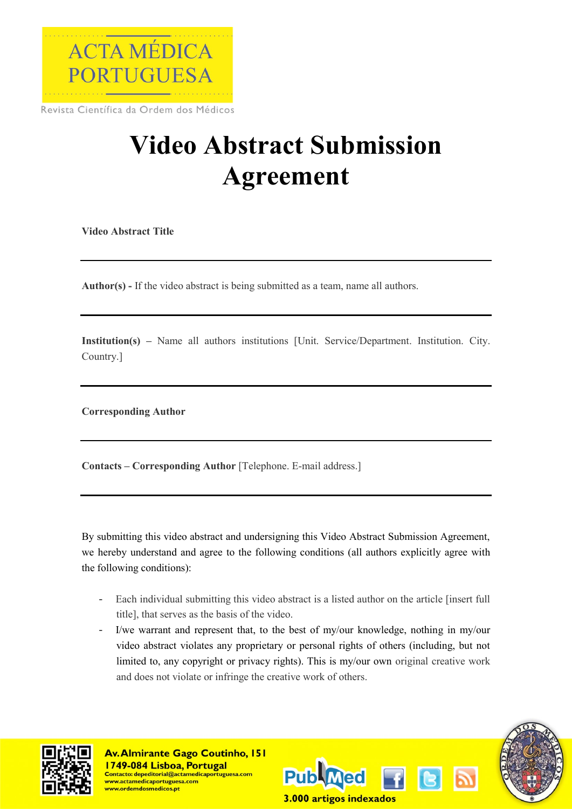

Revista Científica da Ordem dos Médicos

## **Video Abstract Submission Agreement**

**Video Abstract Title**

**Author(s) -** If the video abstract is being submitted as a team, name all authors.

**Institution(s) –** Name all authors institutions [Unit. Service/Department. Institution. City. Country.]

**Corresponding Author**

**Contacts – Corresponding Author** [Telephone. E-mail address.]

By submitting this video abstract and undersigning this Video Abstract Submission Agreement, we hereby understand and agree to the following conditions (all authors explicitly agree with the following conditions):

- Each individual submitting this video abstract is a listed author on the article [insert full title], that serves as the basis of the video.
- I/we warrant and represent that, to the best of my/our knowledge, nothing in my/our video abstract violates any proprietary or personal rights of others (including, but not limited to, any copyright or privacy rights). This is my/our own original creative work and does not violate or infringe the creative work of others.



**Av. Almirante Gago Coutinho, 151** 1749-084 Lisboa, Portugal <u> Contacto: depeditorial@actamedicaportuguesa.com</u> ww.actamedicaportuguesa.com ww.ordemdosmedicos.pt